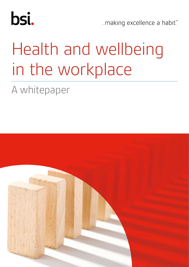

... making excellence a habit."

# Health and wellbeing in the workplace

## A whitepaper

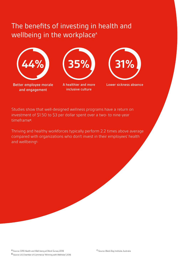### The benefits of investing in health and wellbeing in the workplace<sup>A</sup>



Better employee morale and engagement



inclusive culture



A healthier and more Lower sickness absence

Studies show that well-designed wellness programs have a return on investment of \$1.50 to \$3 per dollar spent over a two- to nine-year timeframe<sup>B</sup>.

Thriving and healthy workforces typically perform 2.2 times above average compared with organizations who don't invest in their employees' health and wellbeing<sup>c.</sup>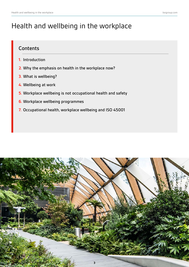#### Health and wellbeing in the workplace

#### **Contents**

- **1.** Introduction
- **2.** Why the emphasis on health in the workplace now?
- **3.** What is wellbeing?
- **4.** Wellbeing at work
- **5.** Workplace wellbeing is not occupational health and safety
- **6.** Workplace wellbeing programmes
- **7.** Occupational health, workplace wellbeing and ISO 45001

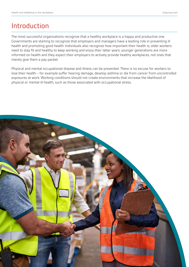#### Introduction

The most successful organizations recognize that a healthy workplace is a happy and productive one. Governments are starting to recognize that employers and managers have a leading role in preventing ill health and promoting good health. Individuals also recognize how important their health is; older workers need to stay fit and healthy to keep working and enjoy their latter years; younger generations are more informed on health and they expect their employers to actively provide healthy workplaces, not ones that merely give them a pay packet.

Physical and mental occupational disease and illness can be prevented. There is no excuse for workers to lose their health – for example suffer hearing damage, develop asthma or die from cancer from uncontrolled exposures at work. Working conditions should not create environments that increase the likelihood of physical or mental ill-health, such as those associated with occupational stress.

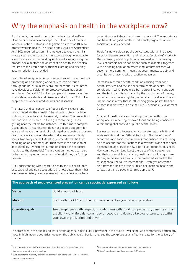### Why the emphasis on health in the workplace now?

Frustratingly, the need to consider the health and welfare of workers is not a new concept. The UK, as one of the first industrial nations, introduced legislation as early as 1802 to protect workers health. The Health and Morals of Apprentices Act 1802, required cotton mill employers to clean the mills twice a year, and ensure that there were enough windows to allow fresh air into the building. Additionally, recognizing that broader social factors had an impact on health, the Act also required that 'suitable and sufficient' clothing and sleeping accommodation be provided.

Examples of enlightened employers and social philanthropists, protecting and enhancing workers lives, can be found throughout industrial history around the world. As countries have developed, legislation to protect workers has been introduced. And yet 2.78 million people still die each year from work-related accidents and diseases and a further 374 million people suffer work-related injuries and diseases<sup>1</sup>. .

The hazard and consequence of poor safety is clearer and more immediate than health. A hand pulled into a machine with industrial rollers will be severely crushed. The prevention method<sup>2</sup> is also clearer  $-$  a fixed quard stopping hands getting near the rollers for instance. Health is more complex. Occupational ill-health often does not become apparent for years and maybe the result of prolonged or repeated exposures over many years or even decades. Individual susceptibility varies. Not every chef will develop contact dermatitis from handling onions but many do. Then there is the question of accountability – which restaurant job caused the exposure that led to the dermatitis? The prevention methods can also be harder to implement – can a chef work if they can't chop onions?

Our understanding with regard to health and ill-health (both occupational and non-occupational) is now better than it has ever been in history. We have research and an evidence base

on what causes ill-health and how to prevent it. The importance and benefits of good health to individuals, organizations and society are also evidenced.

'Health' is now a global public policy issue with an increased focus on disease prevention and reducing 'avoidable<sup>3</sup>' mortality. The increasing world population combined with increasing levels of chronic health conditions such as diabetes, together with an ageing population where long-latency diseases will become more common, mean that governments, society and organizations have to take proactive measures.

Increases in chronic health conditions arising from poor health lifestyles and the social determinants of health – the conditions in which people are born, grow, live, work and age and the fact that this is "shaped by the distribution of money, power and resources at global, national and local levels"<sup>4</sup> is also understood in a way that is influencing global policy. This can be seen in initiatives such as the UN's Sustainable Development Goals.

As a result health risks and health promotion within the workplace are receiving renewed focus and being considered within the global context of public health policy.

Businesses are also focussed on corporate responsibility and sustainability and their 'ethical' footprint. The rise of 'glocal' economies and social media means that businesses are being held to account for their actions in a way that was not the case a generation ago. 'Trust' is now a particular focus for business. How can they gain (and keep) the 'trust' of their customers and their workers? For the latter, health and wellbeing is now starting to be seen as a value to be protected, as part of the trust agenda. The fourth International Strategy Conference on Safety and Health at Work linked occupational health and safety, trust and a people-centred approach<sup>5</sup>:

| <b>Vision</b>   | Build a world of trust                                                                                                                                                                                        |
|-----------------|---------------------------------------------------------------------------------------------------------------------------------------------------------------------------------------------------------------|
| <b>Mission</b>  | Start with the CEO and the top management in your own organization                                                                                                                                            |
| Operative goals | Treat employees with respect; provide them with good compensation, benefits and an<br>excellent work-life balance; empower people and develop take-care-structures within<br>your own organization and beyond |

#### **The approach of people-centred prevention can be succinctly expressed as follows:**

The crossover in the public and work health agenda is particularly prevalent in the topic of 'wellbeing'. As governments, particularly those in high income countries focus on the public health burden they see the workplace as an effective route for the delivery of change.

<sup>3</sup> Such as maternal mortality, preventable deaths of new-borns and children, epidemics and road traffic accidents

<sup>4</sup> http://www.who.int/social\_determinants/sdh\_definition/en/

<sup>5</sup> https://www.dguv.de/isc/documentation/t2/index.jsp

<sup>1</sup> https://www.ilo.org/global/topics/safety-and-health-at-work/lang--en/index.htm

<sup>2</sup> Controls, preventative and mitigating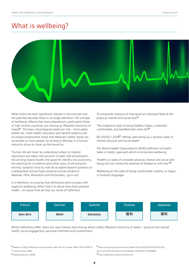#### What is wellbeing?



While there has been significant interest in the concept over the past few decades there is no single definition. The concept of wellbeing reflects that many populations, particularly those in high income countries, are moving up 'Maslow's hierarchy of needs'<sup>6</sup> . The basic physiological needs are met – food, water, shelter etc. State health, education and benefit systems and increased employment mean that Maslow's 'safety' needs are accessible to more people. According to Maslow, it is human nature to strive to move up the hierarchy:

"Human life will never be understood unless its highest aspirations are taken into account. Growth, self-actualization, the striving toward health, the quest for identity and autonomy, the yearning for excellence (and other ways of phrasing the striving "upward") must by now be accepted beyond question as a widespread and perhaps universal human tendency" (Maslow, 1954, Motivation and Personality, pp.xii-xiii)

It is therefore, no surprise that definitions and concepts with regard to wellbeing reflect that it is about more than physical health – it's about how we feel; our sense of fulfilment.

"A composite measure of how good an individual feels at the physical, mental and social level"<sup>7</sup>

"The subjective state of being healthy, happy, contented, comfortable, and satisfied with one's life"<sup>8</sup>

BS 45002-1:2018<sup>9</sup> defines 'well-being' as a "positive state of mental, physical and social health'

The World Health Organization's (WHO) definition of health takes a holistic approach which incorporates wellbeing:

"Health is a state of complete physical, mental and social wellbeing and not merely the absence of disease or infirmity."<sup>10</sup>

Wellbeing as 'the state of being comfortable, healthy, or happy' in multiple languages:



Whilst definitions differ, there are clear themes that emerge which reflect Maslow's hierarchy of needs – physical and mental health; social engagement, personal fulfilment and contentment.

<sup>9</sup> https://shop.bsigroup.com/ProductDetail/?pid=000000000030362021&\_ ga=2.122512011.1622182211.1534158466-556129407.1531298926 <sup>10</sup> http://www.who.int/about/mission/en/

<sup>6</sup> Maslow, A (1954). Motivation and personality. New York, NY: Harper. ISBN 0-06-041987-3

<sup>7</sup> Szalai & Andres (1981).

<sup>8</sup> Waddell & Burton (2006)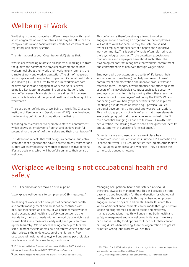### Wellbeing at Work

Wellbeing in the workplace has different meanings within and across organizations and countries. This may be influenced by complex cultural and societal beliefs, attitudes, constraints and regulatory and social systems.

The International Labour Organization (ILO) states that:

"Workplace wellbeing relates to all aspects of working life, from the quality and safety of the physical environment, to how workers feel about their work, their working environment, the climate at work and work organization. The aim of measures for workplace well-being is to complement Occupational Safety and Health (OSH) measures to make sure workers are safe, healthy, satisfied and engaged at work. Workers [sic] wellbeing is a key factor in determining an organization's longterm effectiveness. Many studies show a direct link between productivity levels and the general health and well-being of the workforce"<sup>11</sup>

There are other definitions of wellbeing at work. The Chartered Institute of Personnel and Development (CIPD) have developed the following definition of occupational wellbeing:

"Creating an environment to promote a state of contentment which allows an employee to flourish and achieve their full potential for the benefit of themselves and their organization."<sup>12</sup>

This definition reflects that 'wellbeing' is a personal, subjective state and that organizations have to create an environment and culture which empowers the worker to make positive personal lifestyle decisions, which will hopefully enhance their sense of wellbeing.

This definition is therefore strongly linked to worker engagement and creating an organization that employees will want to work for because they feel safe, are valued by their employer and feel part of a happy and supportive work community. This is part of what is often referred to as the 'psychological contract<sup>13</sup>; the unwritten expectations that workers and employers have about each other. The psychological contract recognizes that workers' commitment and contentment isn't achieved through wages alone.

Employers who pay attention to quality of life issues (their workers' sense of wellbeing) can help secure employees' commitment and motivation and improve productivity and retention rates. Changes in work practices are affecting some aspects of the psychological contract such as job security employers can counter this by looking after other areas that have an impact on employees' wellbeing. The CIPD's 'What's happening with wellbeing<sup>14</sup> paper reflects this principle by identifying five domains of wellbeing – physical, values, personal development, emotional and work/organization. This holistic approach not only reflects that these elements are overlapping but that they enable an individual to fulfil their potential, bringing us back to Maslow "…Growth, selfactualization, the striving toward health, the quest for identity and autonomy, the yearning for excellence...".

Other terms are also used such as 'workplace health promotion' (used frequently across Europe (FR) Promotion de la santé au travail, (DE) Gesundheitsförderung am Arbeitsplatz, (ES) Salud en la empresa) and 'wellness'. They all share the same basic concepts however.

#### Workplace wellbeing is not occupational health and safety

The ILO definition above makes a crucial point:

"…workplace well-being is to complement OSH measures…".

Wellbeing at work is not a core part of occupational health and safety management and must not be confused with occupational health and safety. If we consider Maslow once again, occupational health and safety can be seen as the foundation, the basic needs within the workplace which must be met first. Once these are clearly met, then you can move up the hierarchy. Workplace wellbeing can help to fulfil the self-fulfilment aspects of Maslow's hierarchy. Where confusion often arises, is the middle section of the hierarchy. Poor occupational health (and safety) will undermine psychological needs, whilst workplace wellbeing can bolster it.

11 ILO (International Labour Organization). Workplace Well-being, 2009. Available at http://www.ilo.org/safework/info/WCMS\_118396/lang--en/index.htm

Managing occupational health and safety risks should therefore, always be managed first. This will provide a strong base and good foundation for the mid-section (psychological needs) and this will be visible through enhanced employee engagement and physical and mental health. It is onto this where additional enhancements can be made through effective wellbeing programmes. Failure to tackle and effectively manage occupational health will undermine both health and safety management and any wellbeing initiatives. If workers can choose healthy food options for lunch but inhale cancer causing dusts when working, then the organization has got its priorities wrong…and workers will see this.

<sup>12</sup> CIPD, What's happening with well-being at work? May 2007 Reference: 3869

<sup>13</sup> ROUSSEAU, D.M. (1995) Psychological contracts in organizations: understanding written and unwritten agreements. Thousand Oaks, CA: Sage.

<sup>14</sup> CIPD, What's happening with well-being at work? May 2007 Reference: 3869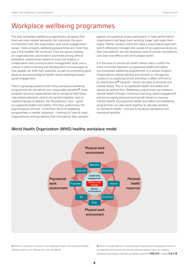### Workplace wellbeing programmes

The best workplace wellbeing programmes recognize that there are inter-related elements; the individual, the work environment /job, the organization and social engagement/ values. Done properly, wellbeing programmes are more than just a few 'healthy life' initiatives. They are about creating an organizational culture which promotes strong, ethical workplace relationships based on trust and respect; a collaborative and communicative management style; and a culture in which learning and development is encouraged so that people can fulfil their potential, as well as promoting good physical and psychological health, whilst enabling broader social engagement.

There is growing evidence that many workplace wellbeing programmes do not deliver any measurable benefits<sup>15</sup>, most probably because organizations fail to recognize that these interrelated elements need to be tackled together (not to mention failing on getting the 'foundations' right – good occupational health and safety). This then undermines the psychological contract. A common focus of wellbeing programmes is mental 'resilience' – training on 'how to cope'. Organizations wrongly believe that 'inoculating' their workers

against occupational stress, particularly in 'high performance' organizations will keep them working longer and make them happy. Rather, workers want and need a preventative approach which effectively manages the causes of occupational stress so that 'inoculations' are not necessary (and of course inoculations, can have side effects and don't always work!).

It is the area of mental (ill) health, where there is often the most confusion between occupational health and safety and workplace wellbeing programmes. It is simple however. Organizations should identify and prevent or manage the causes of occupational stress and what is often referred to as 'psychosocial'<sup>16</sup> hazards – which can lead to physical and mental illness. This is occupational health and safety and should be tackled first. Wellbeing programmes can enhance mental health through continuous learning, social engagement and encouraging physical exercise (all shown to improve mental health). Occupational health and safety and wellbeing programmes can also work together to educate workers on mental ill-health – this will bring about workplace and individual benefits.



#### World Health Organization (WHO) healthy workplace model

15 Osilla KC, van Busum K, Schnyer C, et al. Systematic review of the impact of worksite wellness programs. Am J Manag Care, 2012; 18, e68-e81

16 There is no single definition of 'psychosocial' but generally encompasses the causes of occupational stress (control, security, work demands, working hours etc.), bullying, harassment and violence, shift work and fatigue Japanese 心理社会的, Chinese 社会心理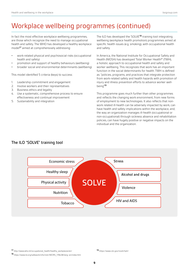### Workplace wellbeing programmes (continued)

In fact the most effective workplace wellbeing programmes, are those which recognize the need to manage occupational health and safety. The WHO has developed a healthy workplace model<sup>17</sup> aimed at comprehensively addressing:

- work-related physical and psychosocial risks (occupational health and safety)
- promotion and support of healthy behaviours (wellbeing)
- broader social and environmental determinants (wellbeing)

This model identified 5 criteria (keys) to success:

- 1. Leadership commitment and engagement
- 2. Involve workers and their representatives
- 3. Business ethics and legality
- 4. Use a systematic, comprehensive process to ensure effectiveness and continual improvement
- 5. Sustainability and integration

The ILO has developed the 'SOLVE<sup>18</sup> training tool integrating wellbeing (workplace health promotion) programmes aimed at specific health issues (e.g. smoking), with occupational health and safety.

In America, the National Institute for Occupational Safety and Health (NIOSH) has developed 'Total Worker Health®' (TWH), a holistic approach to occupational health and safety and worker wellbeing. This recognizes that work has an important function in the social determinants for health. TWH is defined as: "policies, programs, and practices that integrate protection from work-related safety and health hazards with promotion of injury and illness prevention efforts to advance worker wellbeing"<sup>19</sup>

This programme goes much further than other programmes and reflects the changing work environment, from new forms of employment to new technologies. It also reflects that nonwork related ill-health can be adversely impacted by work, can have health and safety implications within the workplace, and, the way an organization manages ill-health (occupational or non-occupational) through sickness absence and rehabilitation policies, can have hugely positive or negative impacts on the individual and the organization.

#### The ILO "SOLVE" training tool



<sup>17</sup> http://www.who.int/occupational\_health/healthy\_workplaces/en/

<sup>19</sup> https://www.cdc.gov/niosh/twh/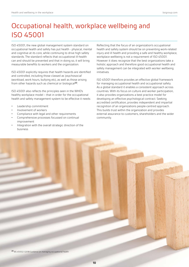### Occupational health, workplace wellbeing and ISO 45001

ISO 45001, the new global management system standard on occupational health and safety has put health - physical, mental and cognitive at its core, while continuing to drive high safety standards. The standard reflects that occupational ill-health can and should be prevented and that in doing so, it will bring measurable benefits to workers and the organization.

ISO 45001 explicitly requires that health hazards are identified and controlled, including those classed as 'psychosocial' (workload, work hours, bullying etc), as well as those arising from other hazards such as chemical or biological<sup>20</sup>.

ISO 45001 also reflects the principles seen in the WHO's healthy workplace model – that in order for the occupational health and safety management system to be effective it needs:

- Leadership commitment
- Involvement of workers
- Compliance with legal and other requirements
- Comprehensive processes focussed on continual improvement
- Integration with the overall strategic direction of the business

Reflecting that the focus of an organization's occupational health and safety system should be on preventing work-related injury and ill health and providing a safe and healthy workplace, workplace wellbeing is not a requirement of ISO 45001. However it does recognize that the best organizations take a holistic approach and therefore good occupational health and safety management can be integrated with worker wellbeing initiatives.

ISO 45001 therefore provides an effective global framework for managing occupational health and occupational safety. As a global standard it enables a consistent approach across countries. With its focus on culture and worker participation, it also provides organizations a best practice model for developing an effective psychological contract. Seeking accredited certification, provides independent and impartial recognition of an organizations people-centred approach. This builds trust within the organization and provides external assurance to customers, shareholders and the wider community.

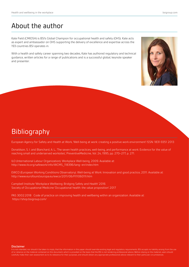#### About the author

Kate Field (CMIOSH) is BSI's Global Champion for occupational health and safety (OHS). Kate acts as expert and ambassador on OHS supporting the delivery of excellence and expertise across the 193 countries BSI operates in.

With a health and safety career spanning two decades, Kate has authored regulatory and technical guidance, written articles for a range of publications and is a successful global, keynote speaker and presenter.



### Bibliography

European Agency for Safety and Health at Work, 'Well-being at work: creating a positive work environment' ISSN: 1831-9351 2013

Donaldson, S. I. and Blanchard, A. L., 'The seven health practices, well-being, and performance at work: Evidence for the value of reaching small and underserved worksites', PreventiveMedicine, Vol. 24, 1995, pp. 270–277, p. 271.

ILO (International Labour Organization). Workplace Well-being, 2009. Available at: http://www.ilo.org/safework/info/WCMS\_118396/lang--en/index.htm

EWCO (European Working Conditions Observatory). Well-being at Work: Innovation and good practice, 2011. Available at: http://www.eurofound.europa.eu/ewco/2011/06/FI1106011I.htm

Campbell Institute 'Workplace Wellbeing: Bridging Safety and Health' 2016 Society of Occupational Medicine 'Occupational health: the value proposition' 2017

PAS 3002:2018 Code of practice on improving health and wellbeing within an organization. Available at: https://shop.bsigroup.com/

#### Disclaimer

of or reliance on the material contained on this document, which is provided on the basis that the BSI is not rendering professional advice. Before relying on the material, users should carefully make their own assessment as to its relevance for their purposes, and should obtain any appropriate professional advice relevant to their particular circumstances.